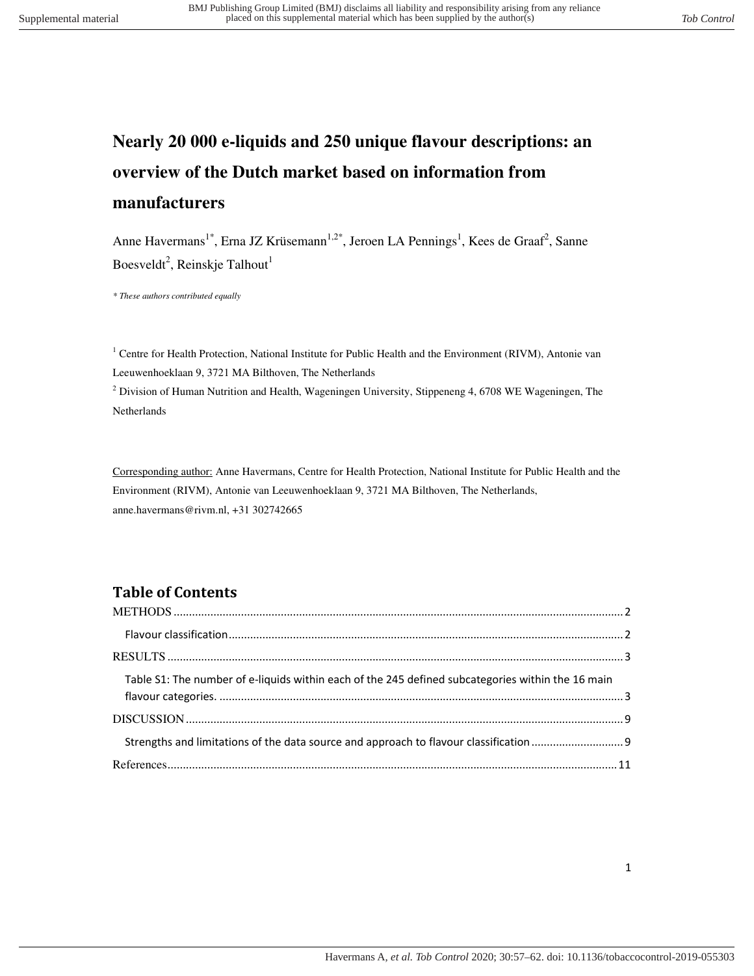# **Nearly 20 000 e-liquids and 250 unique flavour descriptions: an overview of the Dutch market based on information from manufacturers**

Anne Havermans<sup>1\*</sup>, Erna JZ Krüsemann<sup>1,2\*</sup>, Jeroen LA Pennings<sup>1</sup>, Kees de Graaf<sup>2</sup>, Sanne Boesveldt<sup>2</sup>, Reinskje Talhout<sup>1</sup>

*\* These authors contributed equally* 

<sup>1</sup> Centre for Health Protection, National Institute for Public Health and the Environment (RIVM), Antonie van Leeuwenhoeklaan 9, 3721 MA Bilthoven, The Netherlands

<sup>2</sup> Division of Human Nutrition and Health, Wageningen University, Stippeneng 4, 6708 WE Wageningen, The Netherlands

Corresponding author: Anne Havermans, Centre for Health Protection, National Institute for Public Health and the Environment (RIVM), Antonie van Leeuwenhoeklaan 9, 3721 MA Bilthoven, The Netherlands, anne.havermans@rivm.nl, +31 302742665

### **Table of Contents**

| Table S1: The number of e-liquids within each of the 245 defined subcategories within the 16 main |  |
|---------------------------------------------------------------------------------------------------|--|
|                                                                                                   |  |
|                                                                                                   |  |
|                                                                                                   |  |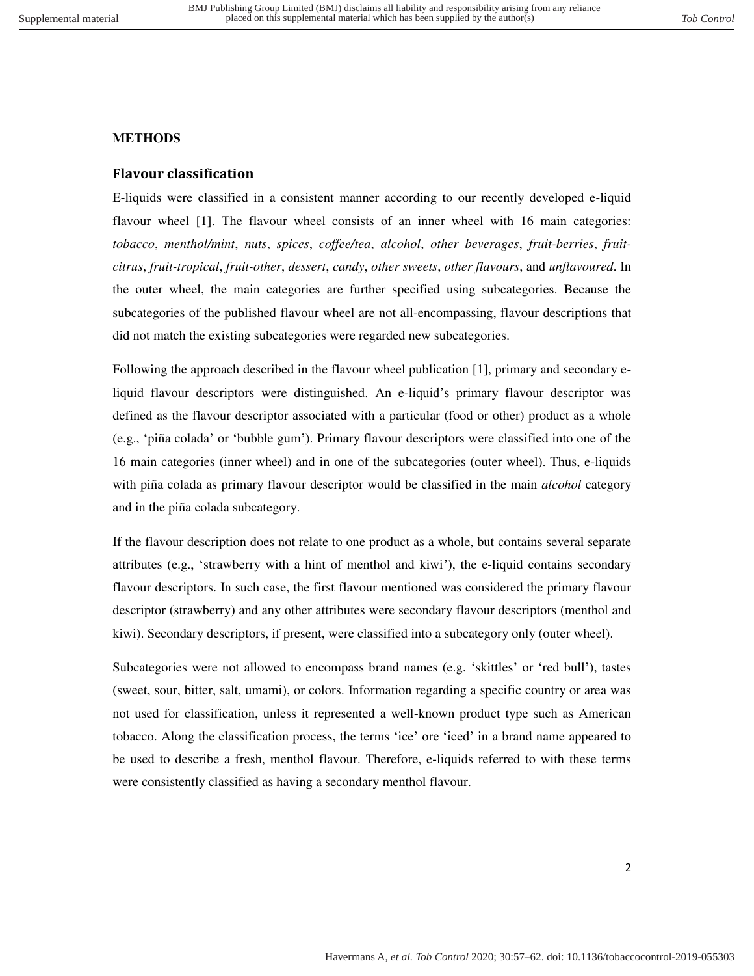### <span id="page-1-1"></span><span id="page-1-0"></span>**METHODS**

### **Flavour classification**

E-liquids were classified in a consistent manner according to our recently developed e-liquid flavour wheel [1]. The flavour wheel consists of an inner wheel with 16 main categories: *tobacco*, *menthol/mint*, *nuts*, *spices*, *coffee/tea*, *alcohol*, *other beverages*, *fruit-berries*, *fruitcitrus*, *fruit-tropical*, *fruit-other*, *dessert*, *candy*, *other sweets*, *other flavours*, and *unflavoured*. In the outer wheel, the main categories are further specified using subcategories. Because the subcategories of the published flavour wheel are not all-encompassing, flavour descriptions that did not match the existing subcategories were regarded new subcategories.

Following the approach described in the flavour wheel publication [1], primary and secondary eliquid flavour descriptors were distinguished. An e-liquid's primary flavour descriptor was defined as the flavour descriptor associated with a particular (food or other) product as a whole (e.g., 'piña colada' or 'bubble gum'). Primary flavour descriptors were classified into one of the 16 main categories (inner wheel) and in one of the subcategories (outer wheel). Thus, e-liquids with piña colada as primary flavour descriptor would be classified in the main *alcohol* category and in the piña colada subcategory.

If the flavour description does not relate to one product as a whole, but contains several separate attributes (e.g., 'strawberry with a hint of menthol and kiwi'), the e-liquid contains secondary flavour descriptors. In such case, the first flavour mentioned was considered the primary flavour descriptor (strawberry) and any other attributes were secondary flavour descriptors (menthol and kiwi). Secondary descriptors, if present, were classified into a subcategory only (outer wheel).

Subcategories were not allowed to encompass brand names (e.g. 'skittles' or 'red bull'), tastes (sweet, sour, bitter, salt, umami), or colors. Information regarding a specific country or area was not used for classification, unless it represented a well-known product type such as American tobacco. Along the classification process, the terms 'ice' ore 'iced' in a brand name appeared to be used to describe a fresh, menthol flavour. Therefore, e-liquids referred to with these terms were consistently classified as having a secondary menthol flavour.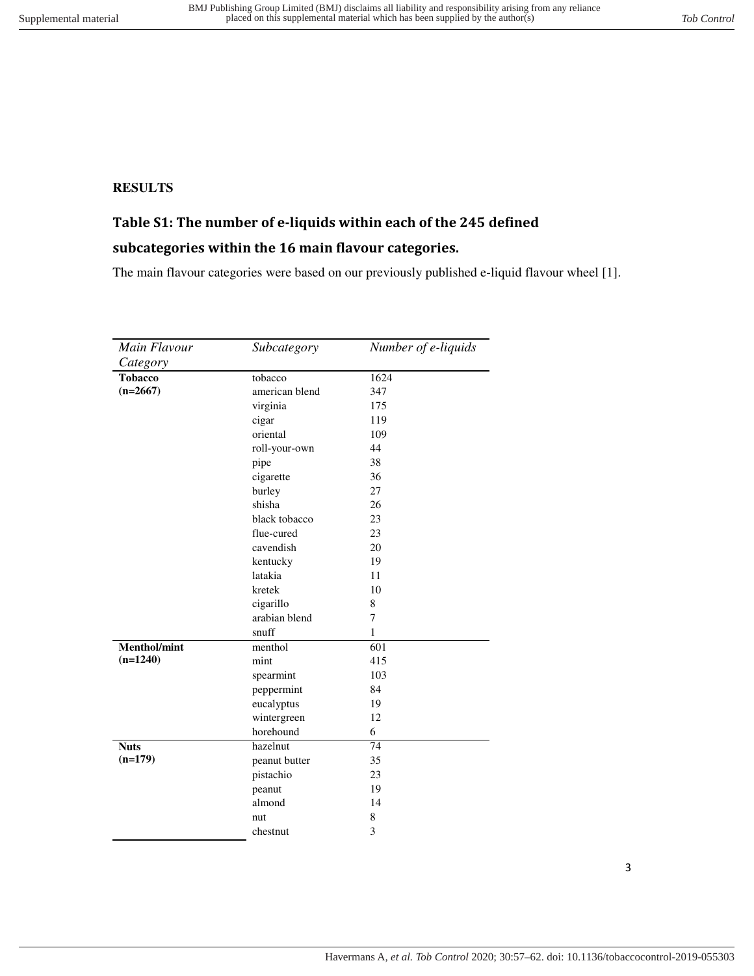### <span id="page-2-1"></span><span id="page-2-0"></span>**RESULTS**

## **Table S1: The number of e-liquids within each of the 245 defined**

### **subcategories within the 16 main flavour categories.**

The main flavour categories were based on our previously published e-liquid flavour wheel [1].

| Main Flavour   | Subcategory    | Number of e-liquids |
|----------------|----------------|---------------------|
| Category       |                |                     |
| <b>Tobacco</b> | tobacco        | 1624                |
| $(n=2667)$     | american blend | 347                 |
|                | virginia       | 175                 |
|                | cigar          | 119                 |
|                | oriental       | 109                 |
|                | roll-your-own  | 44                  |
|                | pipe           | 38                  |
|                | cigarette      | 36                  |
|                | burley         | 27                  |
|                | shisha         | 26                  |
|                | black tobacco  | 23                  |
|                | flue-cured     | 23                  |
|                | cavendish      | 20                  |
|                | kentucky       | 19                  |
|                | latakia        | 11                  |
|                | kretek         | 10                  |
|                | cigarillo      | 8                   |
|                | arabian blend  | 7                   |
|                | snuff          | $\mathbf{1}$        |
| Menthol/mint   | menthol        | 601                 |
| $(n=1240)$     | mint           | 415                 |
|                | spearmint      | 103                 |
|                | peppermint     | 84                  |
|                | eucalyptus     | 19                  |
|                | wintergreen    | 12                  |
|                | horehound      | 6                   |
| <b>Nuts</b>    | hazelnut       | 74                  |
| $(n=179)$      | peanut butter  | 35                  |
|                | pistachio      | 23                  |
|                | peanut         | 19                  |
|                | almond         | 14                  |
|                | nut            | 8                   |
|                | chestnut       | 3                   |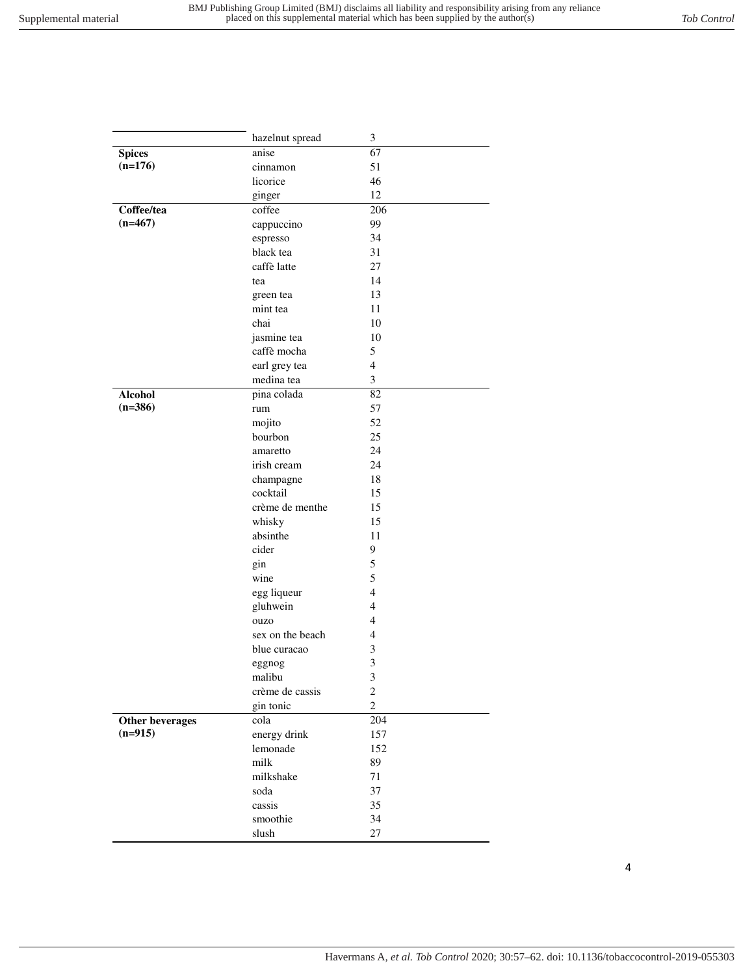|                 | hazelnut spread  | $\mathfrak{Z}$   |
|-----------------|------------------|------------------|
| <b>Spices</b>   | anise            | 67               |
| $(n=176)$       | cinnamon         | 51               |
|                 | licorice         | 46               |
|                 | ginger           | 12               |
| Coffee/tea      | coffee           | 206              |
| $(n=467)$       | cappuccino       | 99               |
|                 | espresso         | 34               |
|                 | black tea        | 31               |
|                 | caffè latte      | 27               |
|                 | tea              | 14               |
|                 | green tea        | 13               |
|                 | mint tea         | 11               |
|                 | chai             | 10               |
|                 | jasmine tea      | 10               |
|                 | caffè mocha      | 5                |
|                 | earl grey tea    | $\overline{4}$   |
|                 | medina tea       | 3                |
| <b>Alcohol</b>  | pina colada      | 82               |
| $(n=386)$       | rum              | 57               |
|                 | mojito           | 52               |
|                 | bourbon          | 25               |
|                 | amaretto         | 24               |
|                 | irish cream      | 24               |
|                 | champagne        | 18               |
|                 | cocktail         | 15               |
|                 | crème de menthe  | 15               |
|                 | whisky           | 15               |
|                 | absinthe         | 11               |
|                 | cider            | 9                |
|                 | gin              | 5                |
|                 | wine             | 5                |
|                 | egg liqueur      | 4                |
|                 | gluhwein         | 4                |
|                 | ouzo             | 4                |
|                 | sex on the beach | 4                |
|                 | blue curacao     | 3                |
|                 | eggnog           | 3                |
|                 | malibu           | 3                |
|                 | crème de cassis  | $\boldsymbol{2}$ |
|                 | gin tonic        | $\overline{c}$   |
| Other beverages | cola             | 204              |
| $(n=915)$       | energy drink     | 157              |
|                 | lemonade         | 152              |
|                 | milk             | 89               |
|                 | milkshake        | $71\,$           |
|                 | soda             | 37               |
|                 | cassis           | 35               |
|                 | smoothie         | 34               |
|                 | slush            | 27               |
|                 |                  |                  |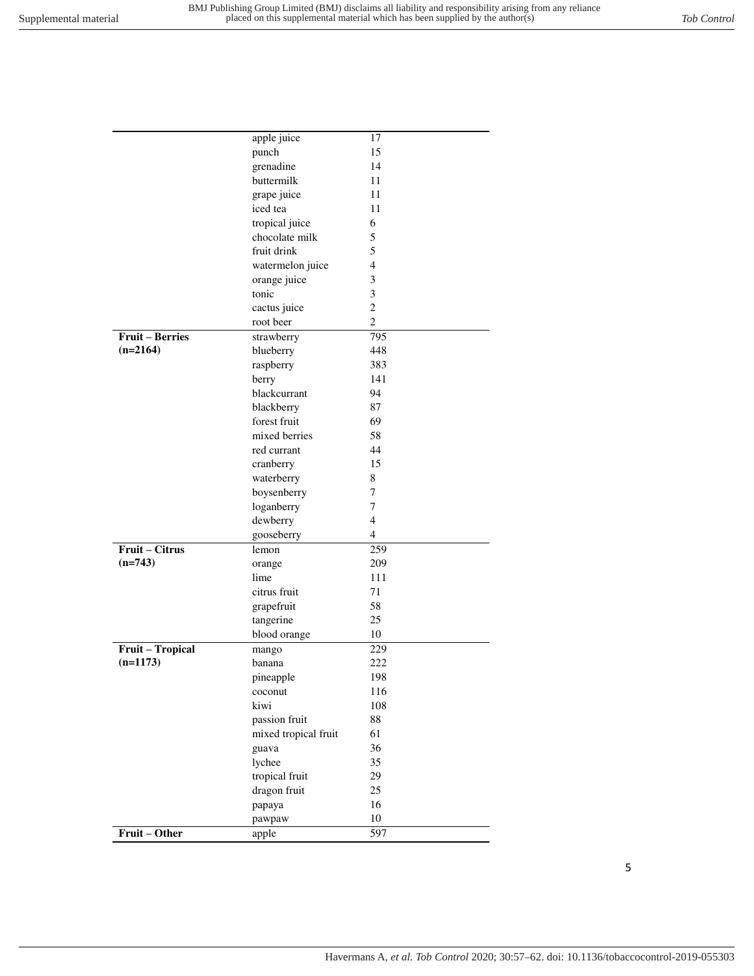|                  | apple juice          | 17             |
|------------------|----------------------|----------------|
|                  | punch                | 15             |
|                  | grenadine            | 14             |
|                  | buttermilk           | 11             |
|                  | grape juice          | 11             |
|                  | iced tea             | 11             |
|                  | tropical juice       | 6              |
|                  | chocolate milk       | 5              |
|                  | fruit drink          | 5              |
|                  | watermelon juice     | 4              |
|                  | orange juice         | 3              |
|                  | tonic                | 3              |
|                  | cactus juice         | $\overline{2}$ |
|                  | root beer            | $\overline{2}$ |
| Fruit - Berries  | strawberry           | 795            |
| $(n=2164)$       | blueberry            | 448            |
|                  | raspberry            | 383            |
|                  | berry                | 141            |
|                  | blackcurrant         | 94             |
|                  | blackberry           | 87             |
|                  | forest fruit         | 69             |
|                  | mixed berries        | 58             |
|                  | red currant          | 44             |
|                  | cranberry            | 15             |
|                  | waterberry           | 8              |
|                  | boysenberry          | 7              |
|                  | loganberry           | 7              |
|                  | dewberry             | $\overline{4}$ |
|                  | gooseberry           | $\overline{4}$ |
| Fruit - Citrus   | lemon                | 259            |
| $(n=743)$        | orange               | 209            |
|                  | lime                 | 111            |
|                  | citrus fruit         | 71             |
|                  | grapefruit           | 58             |
|                  | tangerine            | 25             |
|                  | blood orange         | 10             |
| Fruit - Tropical | mango                | 229            |
| $(n=1173)$       | banana               | 222            |
|                  | pineapple            | 198            |
|                  | coconut              | 116            |
|                  | kiwi                 | 108            |
|                  | passion fruit        | 88             |
|                  | mixed tropical fruit | 61             |
|                  | guava                | 36             |
|                  | lychee               | 35             |
|                  | tropical fruit       | 29             |
|                  | dragon fruit         | 25             |
|                  | papaya               | 16             |
|                  | pawpaw               | 10             |
| Fruit - Other    | apple                | 597            |
|                  |                      |                |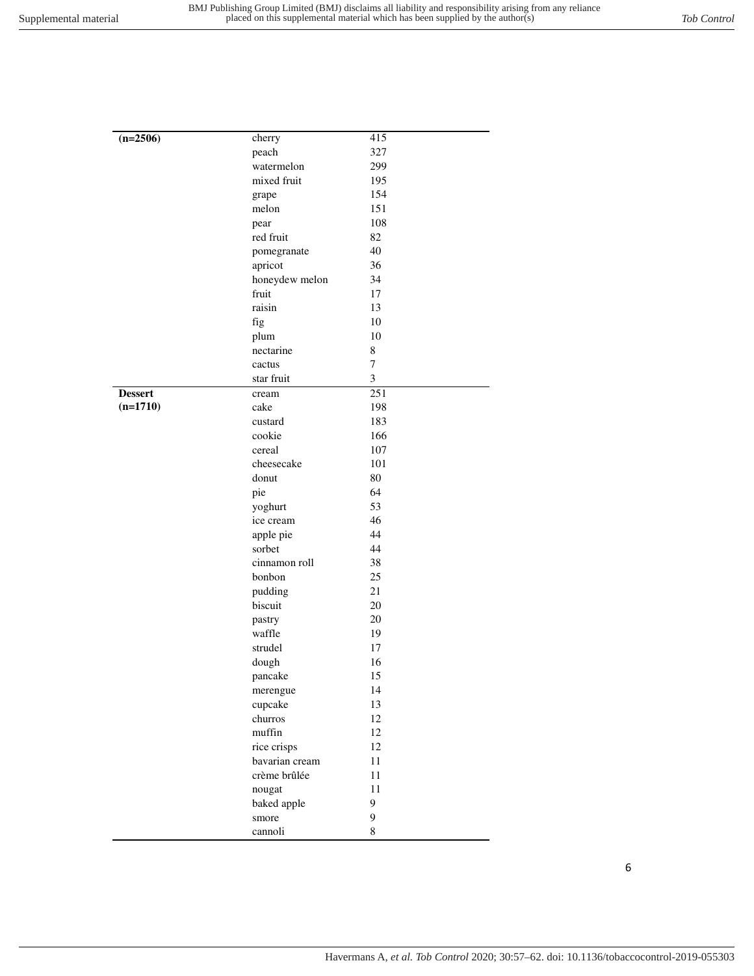| $(n=2506)$<br>cherry<br>415<br>327<br>peach<br>watermelon<br>299<br>mixed fruit<br>195<br>154<br>grape<br>151<br>melon<br>108<br>pear<br>red fruit<br>82<br>40<br>pomegranate<br>apricot<br>36<br>honeydew melon<br>34<br>17<br>fruit<br>raisin<br>13<br>fig<br>10<br>10<br>plum<br>$\,$ 8 $\,$<br>nectarine<br>$\boldsymbol{7}$<br>cactus<br>$\mathfrak{Z}$<br>star fruit<br>251<br><b>Dessert</b><br>cream<br>$(n=1710)$<br>cake<br>198<br>183<br>custard<br>cookie<br>166<br>107<br>cereal<br>cheesecake<br>101<br>80<br>donut<br>64<br>pie<br>53<br>yoghurt<br>46<br>ice cream<br>44<br>apple pie<br>sorbet<br>44<br>cinnamon roll<br>38<br>25<br>bonbon<br>$21\,$<br>pudding<br>biscuit<br>20<br>20<br>pastry<br>waffle<br>19<br>strudel<br>17<br>16<br>dough<br>15<br>pancake<br>14<br>merengue<br>cupcake<br>13<br>churros<br>12<br>muffin<br>12<br>rice crisps<br>12<br>bavarian cream<br>11<br>crème brûlée<br>11<br>11<br>nougat<br>baked apple<br>9<br>9<br>smore<br>8<br>cannoli |  |  |
|----------------------------------------------------------------------------------------------------------------------------------------------------------------------------------------------------------------------------------------------------------------------------------------------------------------------------------------------------------------------------------------------------------------------------------------------------------------------------------------------------------------------------------------------------------------------------------------------------------------------------------------------------------------------------------------------------------------------------------------------------------------------------------------------------------------------------------------------------------------------------------------------------------------------------------------------------------------------------------------------|--|--|
|                                                                                                                                                                                                                                                                                                                                                                                                                                                                                                                                                                                                                                                                                                                                                                                                                                                                                                                                                                                              |  |  |
|                                                                                                                                                                                                                                                                                                                                                                                                                                                                                                                                                                                                                                                                                                                                                                                                                                                                                                                                                                                              |  |  |
|                                                                                                                                                                                                                                                                                                                                                                                                                                                                                                                                                                                                                                                                                                                                                                                                                                                                                                                                                                                              |  |  |
|                                                                                                                                                                                                                                                                                                                                                                                                                                                                                                                                                                                                                                                                                                                                                                                                                                                                                                                                                                                              |  |  |
|                                                                                                                                                                                                                                                                                                                                                                                                                                                                                                                                                                                                                                                                                                                                                                                                                                                                                                                                                                                              |  |  |
|                                                                                                                                                                                                                                                                                                                                                                                                                                                                                                                                                                                                                                                                                                                                                                                                                                                                                                                                                                                              |  |  |
|                                                                                                                                                                                                                                                                                                                                                                                                                                                                                                                                                                                                                                                                                                                                                                                                                                                                                                                                                                                              |  |  |
|                                                                                                                                                                                                                                                                                                                                                                                                                                                                                                                                                                                                                                                                                                                                                                                                                                                                                                                                                                                              |  |  |
|                                                                                                                                                                                                                                                                                                                                                                                                                                                                                                                                                                                                                                                                                                                                                                                                                                                                                                                                                                                              |  |  |
|                                                                                                                                                                                                                                                                                                                                                                                                                                                                                                                                                                                                                                                                                                                                                                                                                                                                                                                                                                                              |  |  |
|                                                                                                                                                                                                                                                                                                                                                                                                                                                                                                                                                                                                                                                                                                                                                                                                                                                                                                                                                                                              |  |  |
|                                                                                                                                                                                                                                                                                                                                                                                                                                                                                                                                                                                                                                                                                                                                                                                                                                                                                                                                                                                              |  |  |
|                                                                                                                                                                                                                                                                                                                                                                                                                                                                                                                                                                                                                                                                                                                                                                                                                                                                                                                                                                                              |  |  |
|                                                                                                                                                                                                                                                                                                                                                                                                                                                                                                                                                                                                                                                                                                                                                                                                                                                                                                                                                                                              |  |  |
|                                                                                                                                                                                                                                                                                                                                                                                                                                                                                                                                                                                                                                                                                                                                                                                                                                                                                                                                                                                              |  |  |
|                                                                                                                                                                                                                                                                                                                                                                                                                                                                                                                                                                                                                                                                                                                                                                                                                                                                                                                                                                                              |  |  |
|                                                                                                                                                                                                                                                                                                                                                                                                                                                                                                                                                                                                                                                                                                                                                                                                                                                                                                                                                                                              |  |  |
|                                                                                                                                                                                                                                                                                                                                                                                                                                                                                                                                                                                                                                                                                                                                                                                                                                                                                                                                                                                              |  |  |
|                                                                                                                                                                                                                                                                                                                                                                                                                                                                                                                                                                                                                                                                                                                                                                                                                                                                                                                                                                                              |  |  |
|                                                                                                                                                                                                                                                                                                                                                                                                                                                                                                                                                                                                                                                                                                                                                                                                                                                                                                                                                                                              |  |  |
|                                                                                                                                                                                                                                                                                                                                                                                                                                                                                                                                                                                                                                                                                                                                                                                                                                                                                                                                                                                              |  |  |
|                                                                                                                                                                                                                                                                                                                                                                                                                                                                                                                                                                                                                                                                                                                                                                                                                                                                                                                                                                                              |  |  |
|                                                                                                                                                                                                                                                                                                                                                                                                                                                                                                                                                                                                                                                                                                                                                                                                                                                                                                                                                                                              |  |  |
|                                                                                                                                                                                                                                                                                                                                                                                                                                                                                                                                                                                                                                                                                                                                                                                                                                                                                                                                                                                              |  |  |
|                                                                                                                                                                                                                                                                                                                                                                                                                                                                                                                                                                                                                                                                                                                                                                                                                                                                                                                                                                                              |  |  |
|                                                                                                                                                                                                                                                                                                                                                                                                                                                                                                                                                                                                                                                                                                                                                                                                                                                                                                                                                                                              |  |  |
|                                                                                                                                                                                                                                                                                                                                                                                                                                                                                                                                                                                                                                                                                                                                                                                                                                                                                                                                                                                              |  |  |
|                                                                                                                                                                                                                                                                                                                                                                                                                                                                                                                                                                                                                                                                                                                                                                                                                                                                                                                                                                                              |  |  |
|                                                                                                                                                                                                                                                                                                                                                                                                                                                                                                                                                                                                                                                                                                                                                                                                                                                                                                                                                                                              |  |  |
|                                                                                                                                                                                                                                                                                                                                                                                                                                                                                                                                                                                                                                                                                                                                                                                                                                                                                                                                                                                              |  |  |
|                                                                                                                                                                                                                                                                                                                                                                                                                                                                                                                                                                                                                                                                                                                                                                                                                                                                                                                                                                                              |  |  |
|                                                                                                                                                                                                                                                                                                                                                                                                                                                                                                                                                                                                                                                                                                                                                                                                                                                                                                                                                                                              |  |  |
|                                                                                                                                                                                                                                                                                                                                                                                                                                                                                                                                                                                                                                                                                                                                                                                                                                                                                                                                                                                              |  |  |
|                                                                                                                                                                                                                                                                                                                                                                                                                                                                                                                                                                                                                                                                                                                                                                                                                                                                                                                                                                                              |  |  |
|                                                                                                                                                                                                                                                                                                                                                                                                                                                                                                                                                                                                                                                                                                                                                                                                                                                                                                                                                                                              |  |  |
|                                                                                                                                                                                                                                                                                                                                                                                                                                                                                                                                                                                                                                                                                                                                                                                                                                                                                                                                                                                              |  |  |
|                                                                                                                                                                                                                                                                                                                                                                                                                                                                                                                                                                                                                                                                                                                                                                                                                                                                                                                                                                                              |  |  |
|                                                                                                                                                                                                                                                                                                                                                                                                                                                                                                                                                                                                                                                                                                                                                                                                                                                                                                                                                                                              |  |  |
|                                                                                                                                                                                                                                                                                                                                                                                                                                                                                                                                                                                                                                                                                                                                                                                                                                                                                                                                                                                              |  |  |
|                                                                                                                                                                                                                                                                                                                                                                                                                                                                                                                                                                                                                                                                                                                                                                                                                                                                                                                                                                                              |  |  |
|                                                                                                                                                                                                                                                                                                                                                                                                                                                                                                                                                                                                                                                                                                                                                                                                                                                                                                                                                                                              |  |  |
|                                                                                                                                                                                                                                                                                                                                                                                                                                                                                                                                                                                                                                                                                                                                                                                                                                                                                                                                                                                              |  |  |
|                                                                                                                                                                                                                                                                                                                                                                                                                                                                                                                                                                                                                                                                                                                                                                                                                                                                                                                                                                                              |  |  |
|                                                                                                                                                                                                                                                                                                                                                                                                                                                                                                                                                                                                                                                                                                                                                                                                                                                                                                                                                                                              |  |  |
|                                                                                                                                                                                                                                                                                                                                                                                                                                                                                                                                                                                                                                                                                                                                                                                                                                                                                                                                                                                              |  |  |
|                                                                                                                                                                                                                                                                                                                                                                                                                                                                                                                                                                                                                                                                                                                                                                                                                                                                                                                                                                                              |  |  |
|                                                                                                                                                                                                                                                                                                                                                                                                                                                                                                                                                                                                                                                                                                                                                                                                                                                                                                                                                                                              |  |  |
|                                                                                                                                                                                                                                                                                                                                                                                                                                                                                                                                                                                                                                                                                                                                                                                                                                                                                                                                                                                              |  |  |
|                                                                                                                                                                                                                                                                                                                                                                                                                                                                                                                                                                                                                                                                                                                                                                                                                                                                                                                                                                                              |  |  |
|                                                                                                                                                                                                                                                                                                                                                                                                                                                                                                                                                                                                                                                                                                                                                                                                                                                                                                                                                                                              |  |  |
|                                                                                                                                                                                                                                                                                                                                                                                                                                                                                                                                                                                                                                                                                                                                                                                                                                                                                                                                                                                              |  |  |
|                                                                                                                                                                                                                                                                                                                                                                                                                                                                                                                                                                                                                                                                                                                                                                                                                                                                                                                                                                                              |  |  |

6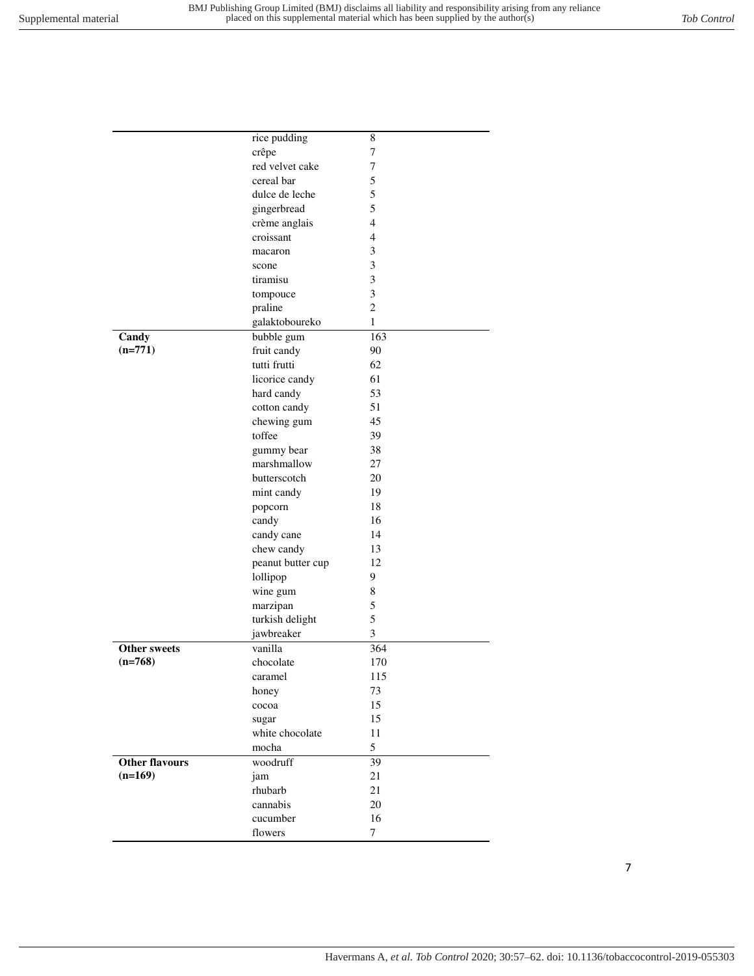|                                  | rice pudding      | 8              |
|----------------------------------|-------------------|----------------|
|                                  | crêpe             | 7              |
|                                  | red velvet cake   | 7              |
|                                  | cereal bar        | 5              |
|                                  | dulce de leche    | 5              |
|                                  | gingerbread       | 5              |
|                                  | crème anglais     | 4              |
|                                  | croissant         | $\overline{4}$ |
|                                  | macaron           | 3              |
|                                  | scone             | 3              |
|                                  | tiramisu          | 3              |
|                                  | tompouce          | 3              |
|                                  | praline           | $\overline{2}$ |
|                                  | galaktoboureko    | $\mathbf{1}$   |
| Candy                            | bubble gum        | 163            |
| $(n=771)$                        | fruit candy       | 90             |
|                                  | tutti frutti      | 62             |
|                                  | licorice candy    | 61             |
|                                  | hard candy        | 53             |
|                                  | cotton candy      | 51             |
|                                  | chewing gum       | 45             |
|                                  | toffee            | 39             |
|                                  | gummy bear        | 38             |
|                                  | marshmallow       | 27             |
|                                  | butterscotch      | 20             |
|                                  | mint candy        | 19             |
|                                  | popcorn           | 18             |
|                                  | candy             | 16             |
|                                  | candy cane        | 14             |
|                                  | chew candy        | 13             |
|                                  | peanut butter cup | 12             |
|                                  | lollipop          | 9              |
|                                  | wine gum          | 8              |
|                                  | marzipan          | 5              |
|                                  | turkish delight   | 5              |
|                                  | jawbreaker        | 3              |
|                                  | vanilla           | 364            |
| <b>Other sweets</b><br>$(n=768)$ | chocolate         | 170            |
|                                  | caramel           | 115            |
|                                  |                   |                |
|                                  | honey             | 73             |
|                                  | cocoa             | 15             |
|                                  | sugar             | 15             |
|                                  | white chocolate   | 11             |
|                                  | mocha             | 5              |
| <b>Other flavours</b>            | woodruff          | 39             |
| $(n=169)$                        | jam               | 21             |
|                                  | rhubarb           | 21             |
|                                  | cannabis          | 20             |
|                                  | cucumber          | 16             |
|                                  | flowers           | $\tau$         |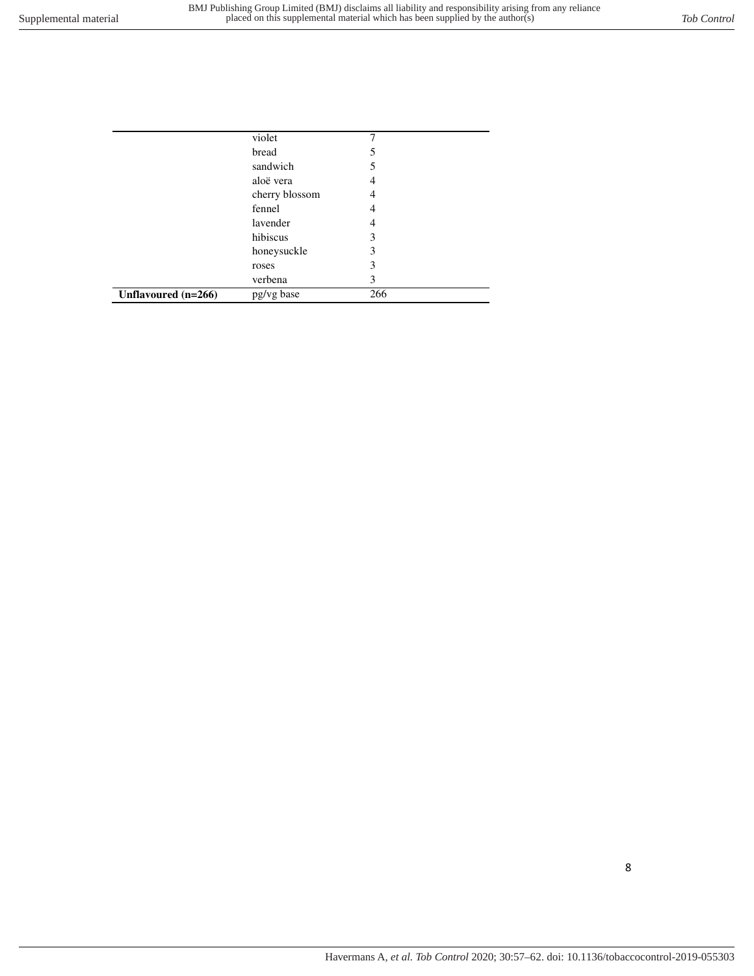|                     | violet         |     |
|---------------------|----------------|-----|
|                     | bread          | 5   |
|                     | sandwich       | 5   |
|                     | aloë vera      | 4   |
|                     | cherry blossom | 4   |
|                     | fennel         | 4   |
|                     | lavender       | 4   |
|                     | hibiscus       | 3   |
|                     | honeysuckle    | 3   |
|                     | roses          | 3   |
|                     | verbena        | 3   |
| Unflavoured (n=266) | pg/vg base     | 266 |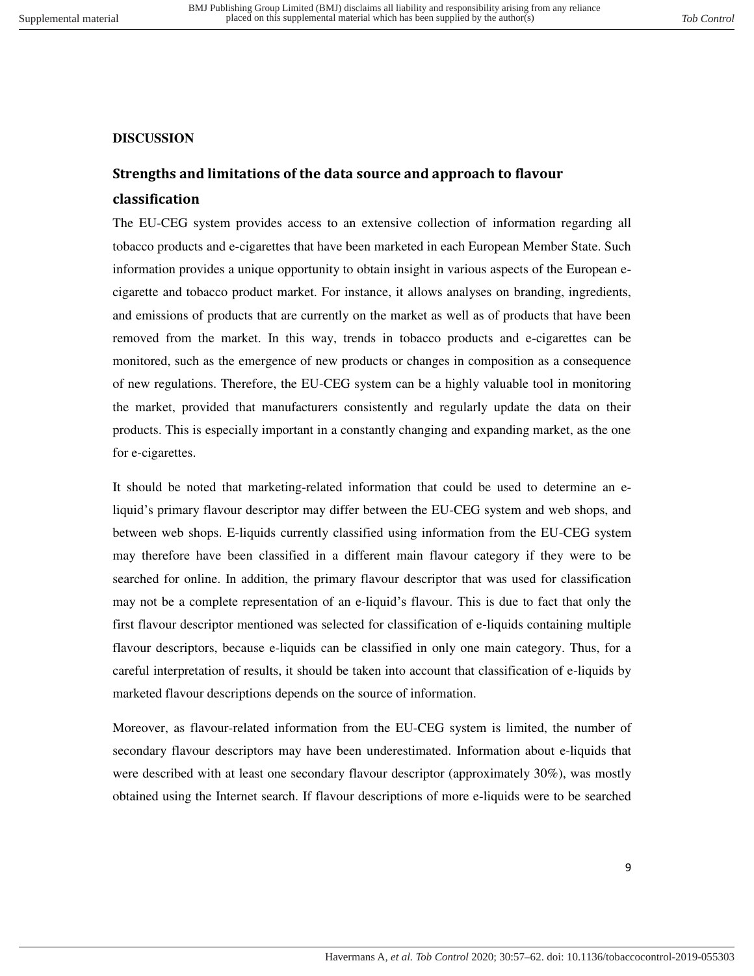#### <span id="page-8-1"></span><span id="page-8-0"></span>**DISCUSSION**

### **Strengths and limitations of the data source and approach to flavour classification**

The EU-CEG system provides access to an extensive collection of information regarding all tobacco products and e-cigarettes that have been marketed in each European Member State. Such information provides a unique opportunity to obtain insight in various aspects of the European ecigarette and tobacco product market. For instance, it allows analyses on branding, ingredients, and emissions of products that are currently on the market as well as of products that have been removed from the market. In this way, trends in tobacco products and e-cigarettes can be monitored, such as the emergence of new products or changes in composition as a consequence of new regulations. Therefore, the EU-CEG system can be a highly valuable tool in monitoring the market, provided that manufacturers consistently and regularly update the data on their products. This is especially important in a constantly changing and expanding market, as the one for e-cigarettes.

It should be noted that marketing-related information that could be used to determine an eliquid's primary flavour descriptor may differ between the EU-CEG system and web shops, and between web shops. E-liquids currently classified using information from the EU-CEG system may therefore have been classified in a different main flavour category if they were to be searched for online. In addition, the primary flavour descriptor that was used for classification may not be a complete representation of an e-liquid's flavour. This is due to fact that only the first flavour descriptor mentioned was selected for classification of e-liquids containing multiple flavour descriptors, because e-liquids can be classified in only one main category. Thus, for a careful interpretation of results, it should be taken into account that classification of e-liquids by marketed flavour descriptions depends on the source of information.

Moreover, as flavour-related information from the EU-CEG system is limited, the number of secondary flavour descriptors may have been underestimated. Information about e-liquids that were described with at least one secondary flavour descriptor (approximately 30%), was mostly obtained using the Internet search. If flavour descriptions of more e-liquids were to be searched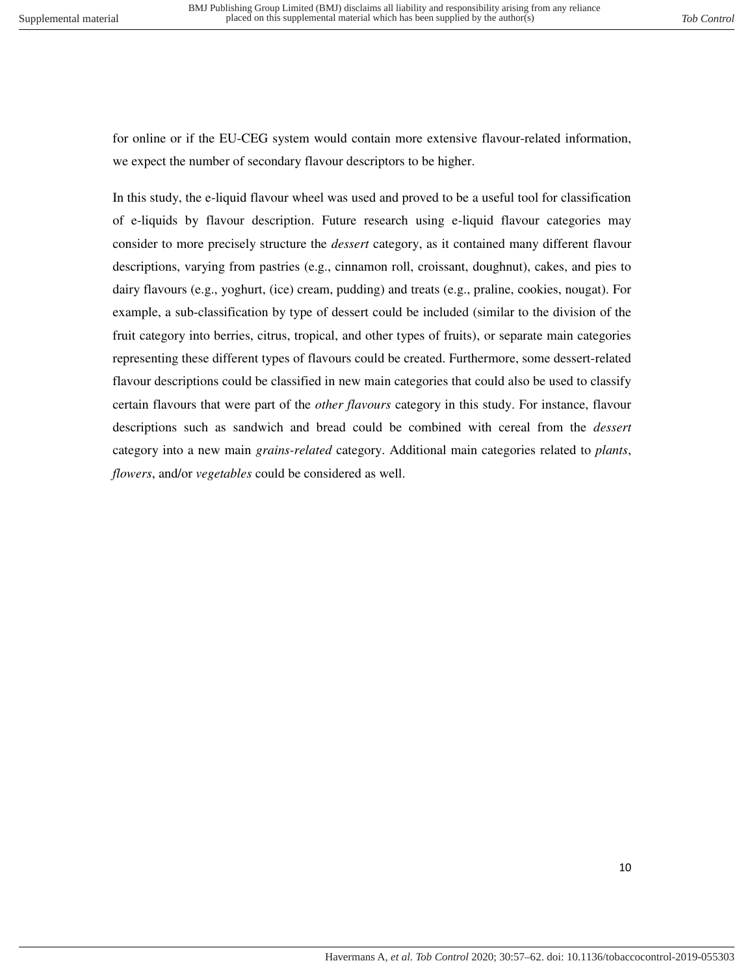for online or if the EU-CEG system would contain more extensive flavour-related information, we expect the number of secondary flavour descriptors to be higher.

In this study, the e-liquid flavour wheel was used and proved to be a useful tool for classification of e-liquids by flavour description. Future research using e-liquid flavour categories may consider to more precisely structure the *dessert* category, as it contained many different flavour descriptions, varying from pastries (e.g., cinnamon roll, croissant, doughnut), cakes, and pies to dairy flavours (e.g., yoghurt, (ice) cream, pudding) and treats (e.g., praline, cookies, nougat). For example, a sub-classification by type of dessert could be included (similar to the division of the fruit category into berries, citrus, tropical, and other types of fruits), or separate main categories representing these different types of flavours could be created. Furthermore, some dessert-related flavour descriptions could be classified in new main categories that could also be used to classify certain flavours that were part of the *other flavours* category in this study. For instance, flavour descriptions such as sandwich and bread could be combined with cereal from the *dessert* category into a new main *grains-related* category. Additional main categories related to *plants*, *flowers*, and/or *vegetables* could be considered as well.